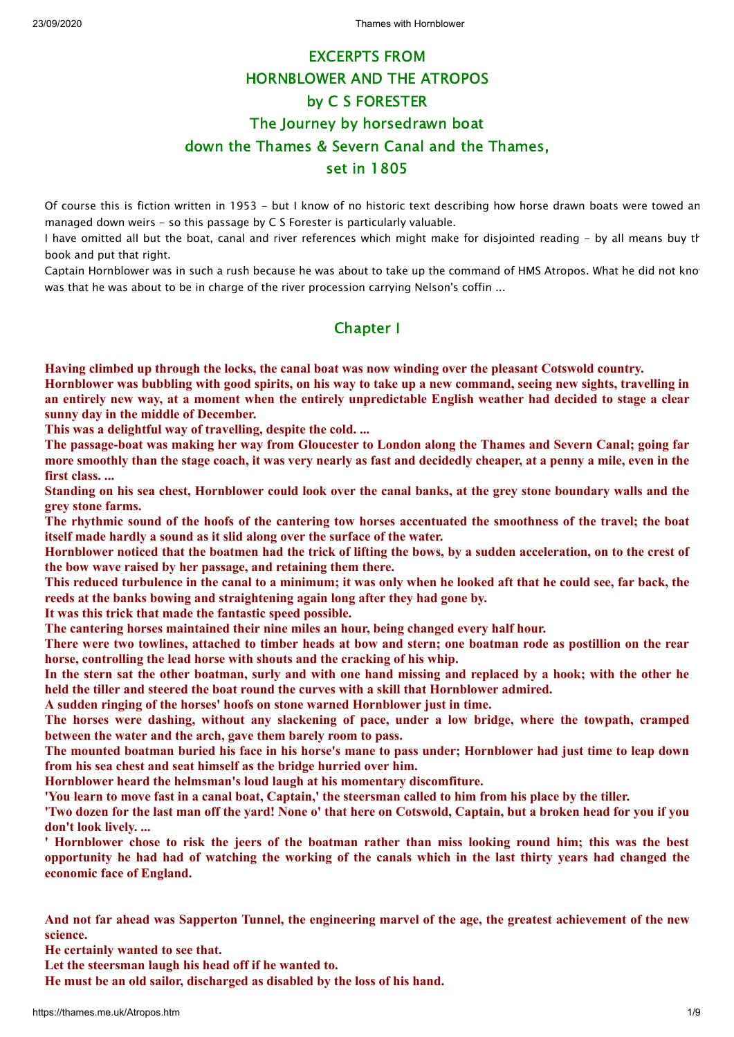# EXCERPTS FROM HORNBLOWER AND THE ATROPOS by C S FORESTER The Journey by horsedrawn boat down the Thames & Severn Canal and the Thames, set in 1805

Of course this is fiction written in 1953 - but I know of no historic text describing how horse drawn boats were towed an managed down weirs - so this passage by C S Forester is particularly valuable.

I have omitted all but the boat, canal and river references which might make for disjointed reading - by all means buy th book and put that right.

Captain Hornblower was in such a rush because he was about to take up the command of HMS Atropos. What he did not know was that he was about to be in charge of the river procession carrying Nelson's coffin ...

## Chapter I

**Having climbed up through the locks, the canal boat was now winding over the pleasant Cotswold country.**

Hornblower was bubbling with good spirits, on his way to take up a new command, seeing new sights, travelling in an entirely new way, at a moment when the entirely unpredictable English weather had decided to stage a clear **sunny day in the middle of December.**

**This was a delightful way of travelling, despite the cold. ...**

The passage-boat was making her way from Gloucester to London along the Thames and Severn Canal; going far more smoothly than the stage coach, it was very nearly as fast and decidedly cheaper, at a penny a mile, even in the **first class. ...**

Standing on his sea chest, Hornblower could look over the canal banks, at the grey stone boundary walls and the **grey stone farms.**

The rhythmic sound of the hoofs of the cantering tow horses accentuated the smoothness of the travel; the boat **itself made hardly a sound as it slid along over the surface of the water.**

Hornblower noticed that the boatmen had the trick of lifting the bows, by a sudden acceleration, on to the crest of **the bow wave raised by her passage, and retaining them there.**

This reduced turbulence in the canal to a minimum; it was only when he looked aft that he could see, far back, the **reeds at the banks bowing and straightening again long after they had gone by.**

**It was this trick that made the fantastic speed possible.**

**The cantering horses maintained their nine miles an hour, being changed every half hour.**

There were two towlines, attached to timber heads at bow and stern; one boatman rode as postillion on the rear **horse, controlling the lead horse with shouts and the cracking of his whip.**

In the stern sat the other boatman, surly and with one hand missing and replaced by a hook; with the other he **held the tiller and steered the boat round the curves with a skill that Hornblower admired.**

**A sudden ringing of the horses' hoofs on stone warned Hornblower just in time.**

**The horses were dashing, without any slackening of pace, under a low bridge, where the towpath, cramped between the water and the arch, gave them barely room to pass.**

The mounted boatman buried his face in his horse's mane to pass under; Hornblower had just time to leap down **from his sea chest and seat himself as the bridge hurried over him.**

**Hornblower heard the helmsman's loud laugh at his momentary discomfiture.**

'You learn to move fast in a canal boat, Captain,' the steersman called to him from his place by the tiller.

'Two dozen for the last man off the vard! None o' that here on Cotswold, Captain, but a broken head for you if you **don't look lively. ...**

' Hornblower chose to risk the jeers of the boatman rather than miss looking round him; this was the best opportunity he had had of watching the working of the canals which in the last thirty years had changed the **economic face of England.**

And not far ahead was Sapperton Tunnel, the engineering marvel of the age, the greatest achievement of the new **science.**

**He certainly wanted to see that.**

**Let the steersman laugh his head off if he wanted to.**

**He must be an old sailor, discharged as disabled by the loss of his hand.**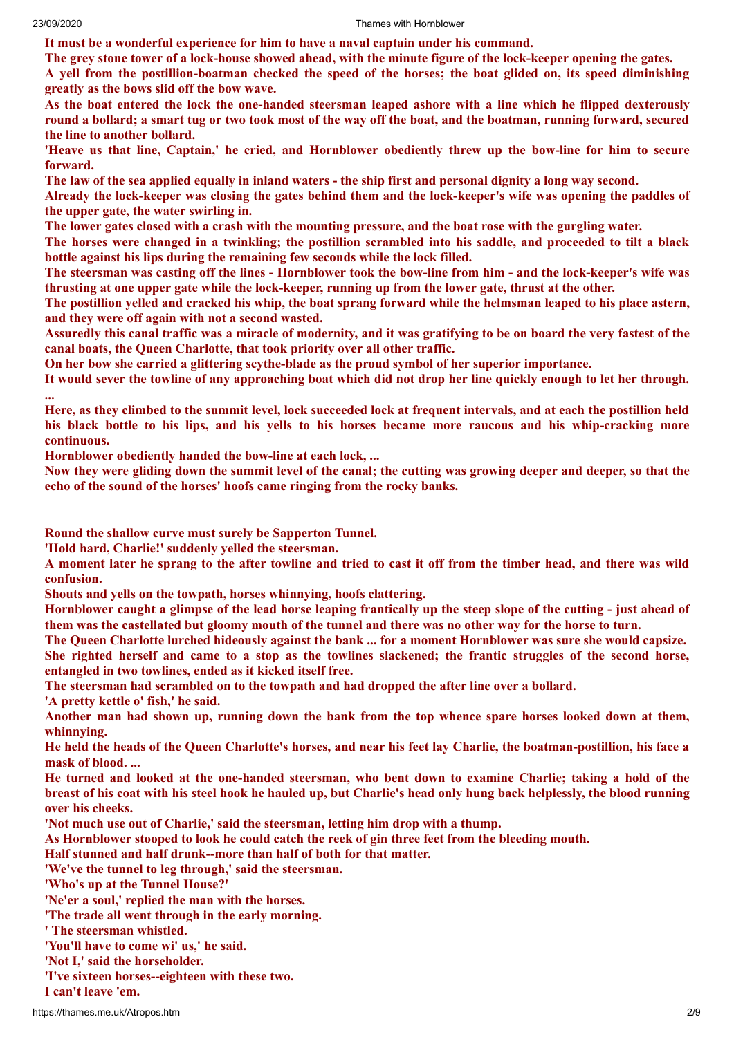**It must be a wonderful experience for him to have a naval captain under his command.**

The grey stone tower of a lock-house showed ahead, with the minute figure of the lock-keeper opening the gates.

A yell from the postillion-boatman checked the speed of the horses; the boat glided on, its speed diminishing **greatly as the bows slid off the bow wave.**

As the boat entered the lock the one-handed steersman leaped ashore with a line which he flipped dexterously round a bollard; a smart tug or two took most of the way off the boat, and the boatman, running forward, secured **the line to another bollard.**

'Heave us that line, Captain,' he cried, and Hornblower obediently threw up the bow-line for him to secure **forward.**

The law of the sea applied equally in inland waters - the ship first and personal dignity a long way second.

Already the lock-keeper was closing the gates behind them and the lock-keeper's wife was opening the paddles of **the upper gate, the water swirling in.**

The lower gates closed with a crash with the mounting pressure, and the boat rose with the gurgling water.

The horses were changed in a twinkling; the postillion scrambled into his saddle, and proceeded to tilt a black **bottle against his lips during the remaining few seconds while the lock filled.**

The steersman was casting off the lines - Hornblower took the bow-line from him - and the lock-keeper's wife was thrusting at one upper gate while the lock-keeper, running up from the lower gate, thrust at the other.

The postillion yelled and cracked his whip, the boat sprang forward while the helmsman leaped to his place astern, **and they were off again with not a second wasted.**

Assuredly this canal traffic was a miracle of modernity, and it was gratifying to be on board the very fastest of the **canal boats, the Queen Charlotte, that took priority over all other traffic.**

**On her bow she carried a glittering scythe-blade as the proud symbol of her superior importance.**

It would sever the towline of any approaching boat which did not drop her line quickly enough to let her through. **...**

Here, as they climbed to the summit level, lock succeeded lock at frequent intervals, and at each the postillion held his black bottle to his lips, and his vells to his horses became more raucous and his whip-cracking more **continuous.**

**Hornblower obediently handed the bow-line at each lock, ...**

Now they were gliding down the summit level of the canal; the cutting was growing deeper and deeper, so that the **echo of the sound of the horses' hoofs came ringing from the rocky banks.**

**Round the shallow curve must surely be Sapperton Tunnel.**

**'Hold hard, Charlie!' suddenly yelled the steersman.**

A moment later he sprang to the after towline and tried to cast it off from the timber head, and there was wild **confusion.**

**Shouts and yells on the towpath, horses whinnying, hoofs clattering.**

Hornblower caught a glimpse of the lead horse leaping frantically up the steep slope of the cutting - just ahead of them was the castellated but gloomy mouth of the tunnel and there was no other way for the horse to turn.

The Queen Charlotte lurched hideously against the bank ... for a moment Hornblower was sure she would capsize.

She righted herself and came to a stop as the towlines slackened; the frantic struggles of the second horse, **entangled in two towlines, ended as it kicked itself free.**

**The steersman had scrambled on to the towpath and had dropped the after line over a bollard.**

**'A pretty kettle o' fish,' he said.**

Another man had shown up, running down the bank from the top whence spare horses looked down at them, **whinnying.**

He held the heads of the Queen Charlotte's horses, and near his feet lay Charlie, the boatman-postillion, his face a **mask of blood. ...**

He turned and looked at the one-handed steersman, who bent down to examine Charlie; taking a hold of the breast of his coat with his steel hook he hauled up, but Charlie's head only hung back helplessly, the blood running **over his cheeks.**

**'Not much use out of Charlie,' said the steersman, letting him drop with a thump.**

**As Hornblower stooped to look he could catch the reek of gin three feet from the bleeding mouth.**

**Half stunned and half drunk--more than half of both for that matter.**

**'We've the tunnel to leg through,' said the steersman.**

**'Who's up at the Tunnel House?'**

**'Ne'er a soul,' replied the man with the horses.**

**'The trade all went through in the early morning.**

**' The steersman whistled.**

**'You'll have to come wi' us,' he said.**

**'Not I,' said the horseholder.**

**'I've sixteen horses--eighteen with these two.**

**I can't leave 'em.**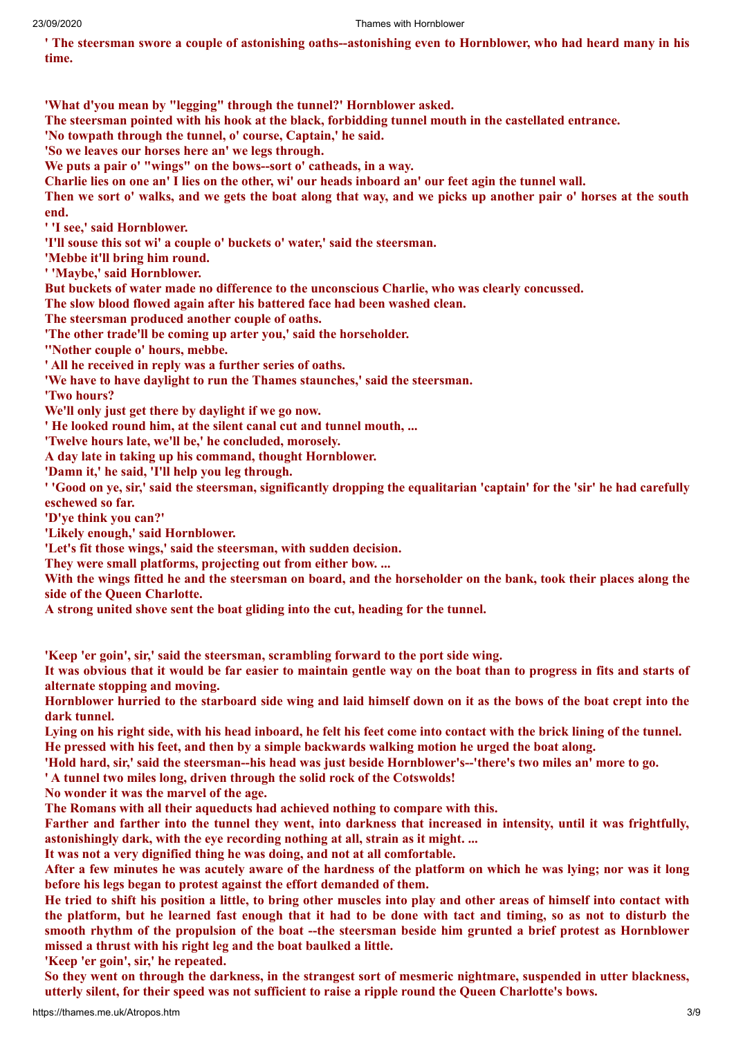The steersman swore a couple of astonishing oaths--astonishing even to Hornblower, who had heard many in his **time.**

**'What d'you mean by "legging" through the tunnel?' Hornblower asked.**

**The steersman pointed with his hook at the black, forbidding tunnel mouth in the castellated entrance.**

**'No towpath through the tunnel, o' course, Captain,' he said.**

**'So we leaves our horses here an' we legs through.**

**We puts a pair o' "wings" on the bows--sort o' catheads, in a way.**

Charlie lies on one an' I lies on the other, wi' our heads inboard an' our feet agin the tunnel wall.

Then we sort o' walks, and we gets the boat along that way, and we picks up another pair o' horses at the south **end.**

**' 'I see,' said Hornblower.**

**'I'll souse this sot wi' a couple o' buckets o' water,' said the steersman.**

**'Mebbe it'll bring him round.**

**' 'Maybe,' said Hornblower.**

**But buckets of water made no difference to the unconscious Charlie, who was clearly concussed.**

**The slow blood flowed again after his battered face had been washed clean.**

**The steersman produced another couple of oaths.**

**'The other trade'll be coming up arter you,' said the horseholder.**

**''Nother couple o' hours, mebbe.**

**' All he received in reply was a further series of oaths.**

**'We have to have daylight to run the Thames staunches,' said the steersman.**

**'Two hours?**

**We'll only just get there by daylight if we go now.**

**' He looked round him, at the silent canal cut and tunnel mouth, ...**

**'Twelve hours late, we'll be,' he concluded, morosely.**

**A day late in taking up his command, thought Hornblower.**

**'Damn it,' he said, 'I'll help you leg through.**

' 'Good on ye, sir,' said the steersman, significantly dropping the equalitarian 'captain' for the 'sir' he had carefully **eschewed so far.**

**'D'ye think you can?'**

**'Likely enough,' said Hornblower.**

**'Let's fit those wings,' said the steersman, with sudden decision.**

**They were small platforms, projecting out from either bow. ...**

With the wings fitted he and the steersman on board, and the horseholder on the bank, took their places along the **side of the Queen Charlotte.**

**A strong united shove sent the boat gliding into the cut, heading for the tunnel.**

**'Keep 'er goin', sir,' said the steersman, scrambling forward to the port side wing.**

It was obvious that it would be far easier to maintain gentle way on the boat than to progress in fits and starts of **alternate stopping and moving.**

Hornblower hurried to the starboard side wing and laid himself down on it as the bows of the boat crept into the **dark tunnel.**

Lying on his right side, with his head inboard, he felt his feet come into contact with the brick lining of the tunnel. **He pressed with his feet, and then by a simple backwards walking motion he urged the boat along.**

'Hold hard, sir,' said the steersman--his head was just beside Hornblower's--'there's two miles an' more to go.

**' A tunnel two miles long, driven through the solid rock of the Cotswolds!**

**No wonder it was the marvel of the age.**

**The Romans with all their aqueducts had achieved nothing to compare with this.**

Farther and farther into the tunnel they went, into darkness that increased in intensity, until it was frightfully, **astonishingly dark, with the eye recording nothing at all, strain as it might. ...**

**It was not a very dignified thing he was doing, and not at all comfortable.**

After a few minutes he was acutely aware of the hardness of the platform on which he was lying; nor was it long **before his legs began to protest against the effort demanded of them.**

He tried to shift his position a little, to bring other muscles into play and other areas of himself into contact with the platform, but he learned fast enough that it had to be done with tact and timing, so as not to disturb the smooth rhythm of the propulsion of the boat --the steersman beside him grunted a brief protest as Hornblower **missed a thrust with his right leg and the boat baulked a little.**

**'Keep 'er goin', sir,' he repeated.**

So they went on through the darkness, in the strangest sort of mesmeric nightmare, suspended in utter blackness, **utterly silent, for their speed was not sufficient to raise a ripple round the Queen Charlotte's bows.**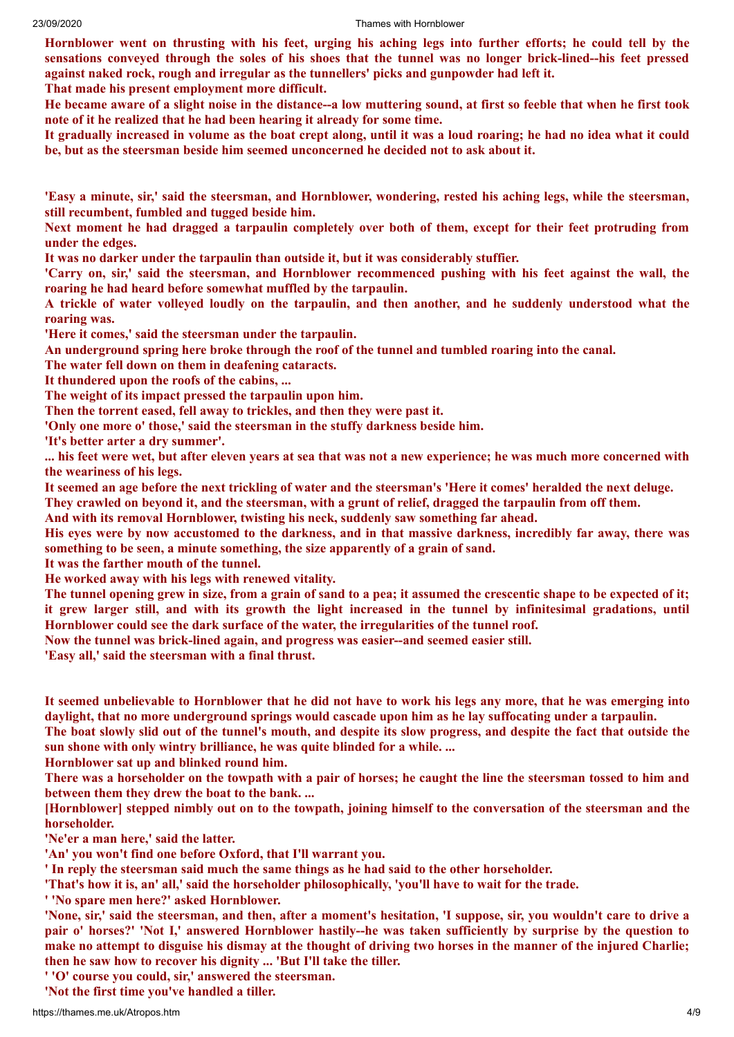Hornblower went on thrusting with his feet, urging his aching legs into further efforts; he could tell by the sensations conveved through the soles of his shoes that the tunnel was no longer brick-lined--his feet pressed **against naked rock, rough and irregular as the tunnellers' picks and gunpowder had left it.**

**That made his present employment more difficult.**

He became aware of a slight noise in the distance--a low muttering sound, at first so feeble that when he first took **note of it he realized that he had been hearing it already for some time.**

It gradually increased in volume as the boat crept along, until it was a loud roaring; he had no idea what it could **be, but as the steersman beside him seemed unconcerned he decided not to ask about it.**

'Easy a minute, sir,' said the steersman, and Hornblower, wondering, rested his aching legs, while the steersman, **still recumbent, fumbled and tugged beside him.**

Next moment he had dragged a tarpaulin completely over both of them, except for their feet protruding from **under the edges.**

**It was no darker under the tarpaulin than outside it, but it was considerably stuffier.**

'Carry on, sir,' said the steersman, and Hornblower recommenced pushing with his feet against the wall, the **roaring he had heard before somewhat muffled by the tarpaulin.**

A trickle of water volleyed loudly on the tarpaulin, and then another, and he suddenly understood what the **roaring was.**

**'Here it comes,' said the steersman under the tarpaulin.**

**An underground spring here broke through the roof of the tunnel and tumbled roaring into the canal.**

**The water fell down on them in deafening cataracts.**

**It thundered upon the roofs of the cabins, ...**

**The weight of its impact pressed the tarpaulin upon him.**

**Then the torrent eased, fell away to trickles, and then they were past it.**

**'Only one more o' those,' said the steersman in the stuffy darkness beside him.**

**'It's better arter a dry summer'.**

... his feet were wet, but after eleven vears at sea that was not a new experience; he was much more concerned with **the weariness of his legs.**

It seemed an age before the next trickling of water and the steersman's 'Here it comes' heralded the next deluge.

They crawled on beyond it, and the steersman, with a grunt of relief, dragged the tarpaulin from off them.

**And with its removal Hornblower, twisting his neck, suddenly saw something far ahead.**

His eves were by now accustomed to the darkness, and in that massive darkness, incredibly far away, there was **something to be seen, a minute something, the size apparently of a grain of sand.**

**It was the farther mouth of the tunnel.**

**He worked away with his legs with renewed vitality.**

The tunnel opening grew in size, from a grain of sand to a pea; it assumed the crescentic shape to be expected of it; it grew larger still, and with its growth the light increased in the tunnel by infinitesimal gradations, until **Hornblower could see the dark surface of the water, the irregularities of the tunnel roof.**

**Now the tunnel was brick-lined again, and progress was easier--and seemed easier still.**

**'Easy all,' said the steersman with a final thrust.**

It seemed unbelievable to Hornblower that he did not have to work his legs any more, that he was emerging into daylight, that no more underground springs would cascade upon him as he lay suffocating under a tarpaulin.

The boat slowly slid out of the tunnel's mouth, and despite its slow progress, and despite the fact that outside the **sun shone with only wintry brilliance, he was quite blinded for a while. ...**

**Hornblower sat up and blinked round him.**

There was a horseholder on the towpath with a pair of horses; he caught the line the steersman tossed to him and **between them they drew the boat to the bank. ...**

[Hornblower] stepped nimbly out on to the towpath, joining himself to the conversation of the steersman and the **horseholder.**

**'Ne'er a man here,' said the latter.**

**'An' you won't find one before Oxford, that I'll warrant you.**

**' In reply the steersman said much the same things as he had said to the other horseholder.**

**'That's how it is, an' all,' said the horseholder philosophically, 'you'll have to wait for the trade.**

**' 'No spare men here?' asked Hornblower.**

'None, sir,' said the steersman, and then, after a moment's hesitation, 'I suppose, sir, you wouldn't care to drive a pair o' horses?' 'Not I,' answered Hornblower hastily--he was taken sufficiently by surprise by the question to make no attempt to disguise his dismay at the thought of driving two horses in the manner of the injured Charlie; **then he saw how to recover his dignity ... 'But I'll take the tiller.**

**' 'O' course you could, sir,' answered the steersman.**

**'Not the first time you've handled a tiller.**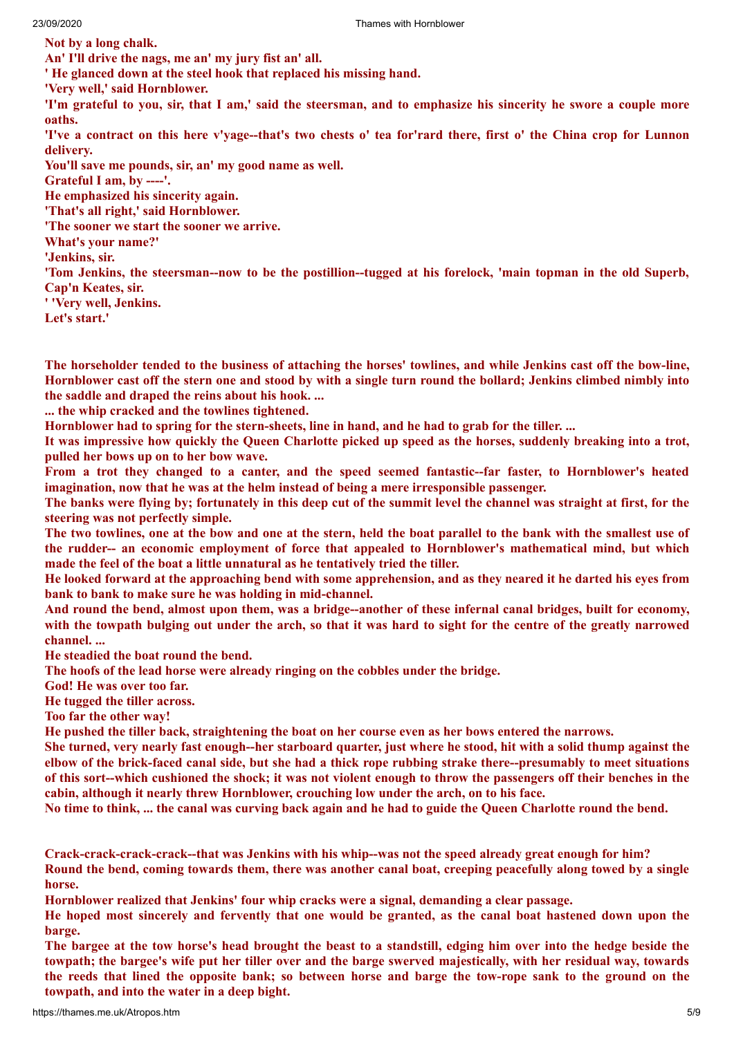**Not by a long chalk.**

**An' I'll drive the nags, me an' my jury fist an' all.**

**' He glanced down at the steel hook that replaced his missing hand.**

**'Very well,' said Hornblower.**

'I'm grateful to you, sir, that I am,' said the steersman, and to emphasize his sincerity he swore a couple more **oaths.**

'I've a contract on this here v'vage--that's two chests o' tea for'rard there, first o' the China crop for Lunnon **delivery.**

**You'll save me pounds, sir, an' my good name as well.**

**Grateful I am, by ----'.**

**He emphasized his sincerity again.**

**'That's all right,' said Hornblower.**

**'The sooner we start the sooner we arrive.**

**What's your name?'**

**'Jenkins, sir.**

'Tom Jenkins, the steersman--now to be the postillion--tugged at his forelock, 'main topman in the old Superb, **Cap'n Keates, sir.**

**' 'Very well, Jenkins.**

**Let's start.'**

The horseholder tended to the business of attaching the horses' towlines, and while Jenkins cast off the bow-line, Hornblower cast off the stern one and stood by with a single turn round the bollard; Jenkins climbed nimbly into **the saddle and draped the reins about his hook. ...**

**... the whip cracked and the towlines tightened.**

Hornblower had to spring for the stern-sheets, line in hand, and he had to grab for the tiller. ...

It was impressive how quickly the Queen Charlotte picked up speed as the horses, suddenly breaking into a trot, **pulled her bows up on to her bow wave.**

**From a trot they changed to a canter, and the speed seemed fantastic--far faster, to Hornblower's heated imagination, now that he was at the helm instead of being a mere irresponsible passenger.**

The banks were flying by; fortunately in this deep cut of the summit level the channel was straight at first, for the **steering was not perfectly simple.**

The two towlines, one at the bow and one at the stern, held the boat parallel to the bank with the smallest use of **the rudder-- an economic employment of force that appealed to Hornblower's mathematical mind, but which made the feel of the boat a little unnatural as he tentatively tried the tiller.**

He looked forward at the approaching bend with some apprehension, and as they neared it he darted his eyes from **bank to bank to make sure he was holding in mid-channel.**

And round the bend, almost upon them, was a bridge--another of these infernal canal bridges, built for economy, with the towpath bulging out under the arch, so that it was hard to sight for the centre of the greatly narrowed **channel. ...**

**He steadied the boat round the bend.**

**The hoofs of the lead horse were already ringing on the cobbles under the bridge.**

**God! He was over too far.**

**He tugged the tiller across.**

**Too far the other way!**

He pushed the tiller back, straightening the boat on her course even as her bows entered the narrows.

She turned, very nearly fast enough--her starboard quarter, just where he stood, hit with a solid thump against the elbow of the brick-faced canal side, but she had a thick rope rubbing strake there--presumably to meet situations of this sort--which cushioned the shock; it was not violent enough to throw the passengers off their benches in the **cabin, although it nearly threw Hornblower, crouching low under the arch, on to his face.**

No time to think, ... the canal was curving back again and he had to guide the Oueen Charlotte round the bend.

**Crack-crack-crack-crack--that was Jenkins with his whip--was not the speed already great enough for him?**

Round the bend, coming towards them, there was another canal boat, creeping peacefully along towed by a single **horse.**

**Hornblower realized that Jenkins' four whip cracks were a signal, demanding a clear passage.**

He hoped most sincerely and fervently that one would be granted, as the canal boat hastened down upon the **barge.**

The bargee at the tow horse's head brought the beast to a standstill, edging him over into the hedge beside the towpath; the bargee's wife put her tiller over and the barge swerved majestically, with her residual way, towards the reeds that lined the opposite bank; so between horse and barge the tow-rope sank to the ground on the **towpath, and into the water in a deep bight.**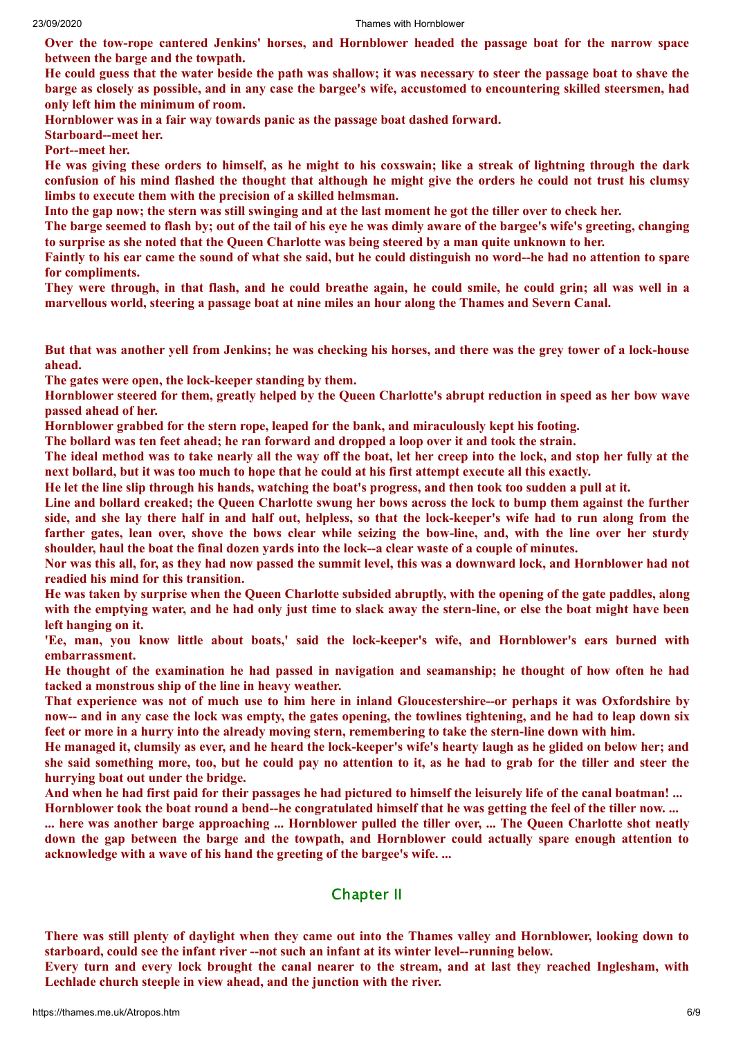**Over the tow-rope cantered Jenkins' horses, and Hornblower headed the passage boat for the narrow space between the barge and the towpath.**

He could guess that the water beside the path was shallow; it was necessary to steer the passage boat to shave the barge as closely as possible, and in any case the bargee's wife, accustomed to encountering skilled steersmen, had **only left him the minimum of room.**

**Hornblower was in a fair way towards panic as the passage boat dashed forward.**

**Starboard--meet her.**

**Port--meet her.**

He was giving these orders to himself, as he might to his coxswain; like a streak of lightning through the dark confusion of his mind flashed the thought that although he might give the orders he could not trust his clumsy **limbs to execute them with the precision of a skilled helmsman.**

Into the gap now; the stern was still swinging and at the last moment he got the tiller over to check her.

The barge seemed to flash by; out of the tail of his eve he was dimly aware of the bargee's wife's greeting, changing to surprise as she noted that the Queen Charlotte was being steered by a man quite unknown to her.

Faintly to his ear came the sound of what she said, but he could distinguish no word--he had no attention to spare **for compliments.**

They were through, in that flash, and he could breathe again, he could smile, he could grin; all was well in a **marvellous world, steering a passage boat at nine miles an hour along the Thames and Severn Canal.**

But that was another vell from Jenkins: he was checking his horses, and there was the grev tower of a lock-house **ahead.**

**The gates were open, the lock-keeper standing by them.**

Hornblower steered for them, greatly helped by the Queen Charlotte's abrupt reduction in speed as her bow wave **passed ahead of her.**

**Hornblower grabbed for the stern rope, leaped for the bank, and miraculously kept his footing.**

The bollard was ten feet ahead; he ran forward and dropped a loop over it and took the strain.

The ideal method was to take nearly all the way off the boat, let her creep into the lock, and stop her fully at the next bollard, but it was too much to hope that he could at his first attempt execute all this exactly.

He let the line slip through his hands, watching the boat's progress, and then took too sudden a pull at it.

Line and bollard creaked; the Queen Charlotte swung her bows across the lock to bump them against the further side, and she lay there half in and half out, helpless, so that the lock-keeper's wife had to run along from the farther gates, lean over, shove the bows clear while seizing the bow-line, and, with the line over her sturdy **shoulder, haul the boat the final dozen yards into the lock--a clear waste of a couple of minutes.**

Nor was this all, for, as they had now passed the summit level, this was a downward lock, and Hornblower had not **readied his mind for this transition.**

He was taken by surprise when the Queen Charlotte subsided abruptly, with the opening of the gate paddles, along with the emptying water, and he had only just time to slack away the stern-line, or else the boat might have been **left hanging on it.**

**'Ee, man, you know little about boats,' said the lock-keeper's wife, and Hornblower's ears burned with embarrassment.**

He thought of the examination he had passed in navigation and seamanship; he thought of how often he had **tacked a monstrous ship of the line in heavy weather.**

That experience was not of much use to him here in inland Gloucestershire--or perhaps it was Oxfordshire by now-- and in any case the lock was empty, the gates opening, the towlines tightening, and he had to leap down six feet or more in a hurry into the already moving stern, remembering to take the stern-line down with him.

He managed it, clumsily as ever, and he heard the lock-keeper's wife's hearty laugh as he glided on below her; and she said something more, too, but he could pay no attention to it, as he had to grab for the tiller and steer the **hurrying boat out under the bridge.**

And when he had first paid for their passages he had pictured to himself the leisurely life of the canal boatman! ... Hornblower took the boat round a bend--he congratulated himself that he was getting the feel of the tiller now. ...

... here was another barge approaching ... Hornblower pulled the tiller over, ... The Queen Charlotte shot neatly **down the gap between the barge and the towpath, and Hornblower could actually spare enough attention to acknowledge with a wave of his hand the greeting of the bargee's wife. ...**

#### Chapter II

There was still plenty of daylight when they came out into the Thames valley and Hornblower, looking down to **starboard, could see the infant river --not such an infant at its winter level--running below.**

Every turn and every lock brought the canal nearer to the stream, and at last they reached Inglesham, with **Lechlade church steeple in view ahead, and the junction with the river.**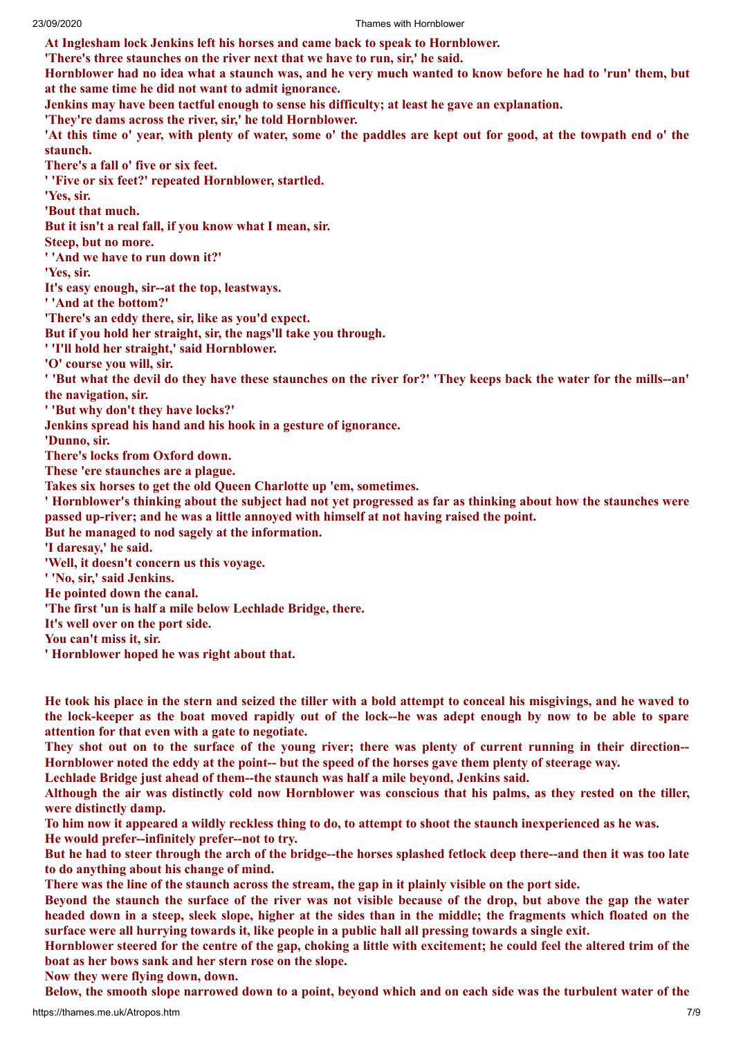**At Inglesham lock Jenkins left his horses and came back to speak to Hornblower.**

**'There's three staunches on the river next that we have to run, sir,' he said.**

Hornblower had no idea what a staunch was, and he very much wanted to know before he had to 'run' them, but **at the same time he did not want to admit ignorance.**

**Jenkins may have been tactful enough to sense his difficulty; at least he gave an explanation.**

**'They're dams across the river, sir,' he told Hornblower.**

'At this time o' year, with plenty of water, some o' the paddles are kept out for good, at the towpath end o' the **staunch.**

**There's a fall o' five or six feet.**

**' 'Five or six feet?' repeated Hornblower, startled.**

**'Yes, sir.**

**'Bout that much.**

**But it isn't a real fall, if you know what I mean, sir.**

**Steep, but no more.**

**' 'And we have to run down it?'**

**'Yes, sir.**

**It's easy enough, sir--at the top, leastways.**

**' 'And at the bottom?'**

**'There's an eddy there, sir, like as you'd expect.**

**But if you hold her straight, sir, the nags'll take you through.**

**' 'I'll hold her straight,' said Hornblower.**

**'O' course you will, sir.**

' 'But what the devil do they have these staunches on the river for?' 'They keeps back the water for the mills--an' **the navigation, sir.**

**' 'But why don't they have locks?'**

**Jenkins spread his hand and his hook in a gesture of ignorance.**

**'Dunno, sir.**

**There's locks from Oxford down.**

**These 'ere staunches are a plague.**

**Takes six horses to get the old Queen Charlotte up 'em, sometimes.**

'Hornblower's thinking about the subject had not yet progressed as far as thinking about how the staunches were **passed up-river; and he was a little annoyed with himself at not having raised the point.**

**But he managed to nod sagely at the information.**

**'I daresay,' he said.**

**'Well, it doesn't concern us this voyage.**

**' 'No, sir,' said Jenkins.**

**He pointed down the canal.**

**'The first 'un is half a mile below Lechlade Bridge, there.**

**It's well over on the port side.**

**You can't miss it, sir.**

**' Hornblower hoped he was right about that.**

He took his place in the stern and seized the tiller with a bold attempt to conceal his misgivings, and he waved to the lock-keeper as the boat moved rapidly out of the lock-he was adept enough by now to be able to spare **attention for that even with a gate to negotiate.**

They shot out on to the surface of the young river; there was plenty of current running in their direction--Hornblower noted the eddy at the point-- but the speed of the horses gave them plenty of steerage way.

**Lechlade Bridge just ahead of them--the staunch was half a mile beyond, Jenkins said.**

Although the air was distinctly cold now Hornblower was conscious that his palms, as they rested on the tiller, **were distinctly damp.**

To him now it appeared a wildly reckless thing to do, to attempt to shoot the staunch inexperienced as he was. **He would prefer--infinitely prefer--not to try.**

But he had to steer through the arch of the bridge--the horses splashed fetlock deep there--and then it was too late **to do anything about his change of mind.**

There was the line of the staunch across the stream, the gap in it plainly visible on the port side.

Bevond the staunch the surface of the river was not visible because of the drop, but above the gap the water headed down in a steep, sleek slope, higher at the sides than in the middle; the fragments which floated on the surface were all hurrying towards it, like people in a public hall all pressing towards a single exit.

Hornblower steered for the centre of the gap, choking a little with excitement; he could feel the altered trim of the **boat as her bows sank and her stern rose on the slope.**

**Now they were flying down, down.**

Below, the smooth slope narrowed down to a point, beyond which and on each side was the turbulent water of the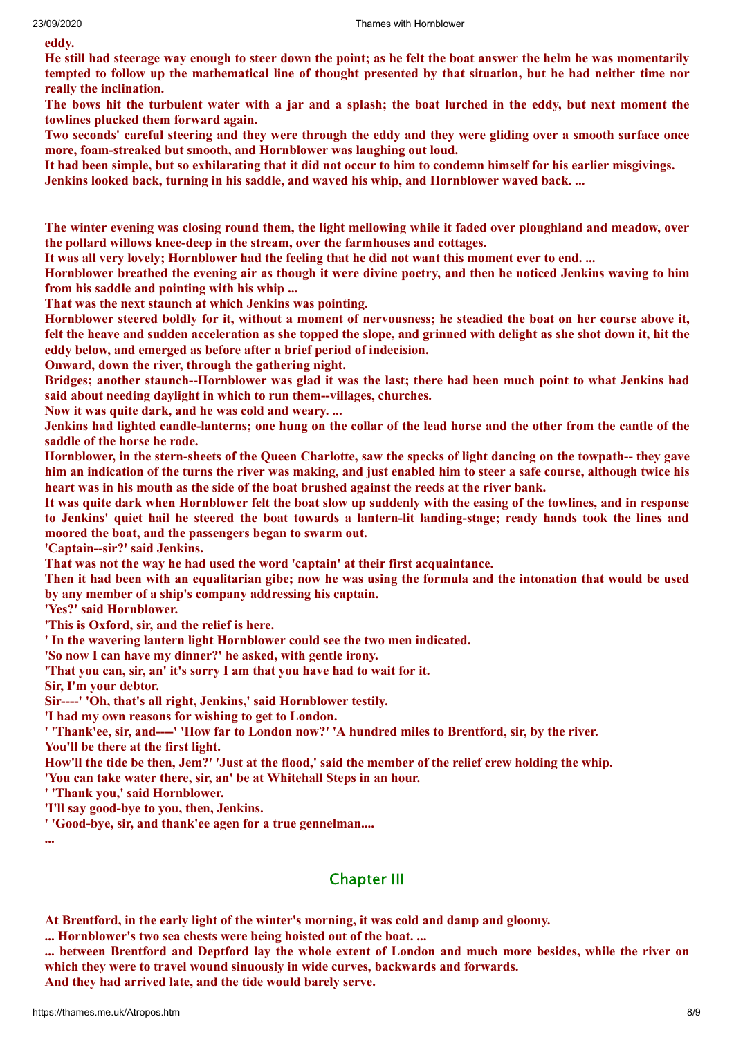#### **eddy.**

He still had steerage way enough to steer down the point; as he felt the boat answer the helm he was momentarily tempted to follow up the mathematical line of thought presented by that situation, but he had neither time nor **really the inclination.**

The bows hit the turbulent water with a jar and a splash; the boat lurched in the eddy, but next moment the **towlines plucked them forward again.**

Two seconds' careful steering and they were through the eddy and they were gliding over a smooth surface once **more, foam-streaked but smooth, and Hornblower was laughing out loud.**

It had been simple, but so exhilarating that it did not occur to him to condemn himself for his earlier misgivings. **Jenkins looked back, turning in his saddle, and waved his whip, and Hornblower waved back. ...**

The winter evening was closing round them, the light mellowing while it faded over ploughland and meadow, over **the pollard willows knee-deep in the stream, over the farmhouses and cottages.**

It was all very lovely; Hornblower had the feeling that he did not want this moment ever to end. ...

Hornblower breathed the evening air as though it were divine poetry, and then he noticed Jenkins waving to him **from his saddle and pointing with his whip ...**

**That was the next staunch at which Jenkins was pointing.**

Hornblower steered boldly for it, without a moment of nervousness; he steadied the boat on her course above it, felt the heave and sudden acceleration as she topped the slope, and grinned with delight as she shot down it, hit the **eddy below, and emerged as before after a brief period of indecision.**

**Onward, down the river, through the gathering night.**

Bridges; another staunch--Hornblower was glad it was the last; there had been much point to what Jenkins had **said about needing daylight in which to run them--villages, churches.**

**Now it was quite dark, and he was cold and weary. ...**

Jenkins had lighted candle-lanterns; one hung on the collar of the lead horse and the other from the cantle of the **saddle of the horse he rode.**

Hornblower, in the stern-sheets of the Queen Charlotte, saw the specks of light dancing on the towpath-- they gave him an indication of the turns the river was making, and just enabled him to steer a safe course, although twice his **heart was in his mouth as the side of the boat brushed against the reeds at the river bank.**

It was quite dark when Hornblower felt the boat slow up suddenly with the easing of the towlines, and in response to Jenkins' quiet hail he steered the boat towards a lantern-lit landing-stage; ready hands took the lines and **moored the boat, and the passengers began to swarm out.**

**'Captain--sir?' said Jenkins.**

**That was not the way he had used the word 'captain' at their first acquaintance.**

Then it had been with an equalitarian gibe; now he was using the formula and the intonation that would be used **by any member of a ship's company addressing his captain.**

**'Yes?' said Hornblower.**

**'This is Oxford, sir, and the relief is here.**

**' In the wavering lantern light Hornblower could see the two men indicated.**

**'So now I can have my dinner?' he asked, with gentle irony.**

**'That you can, sir, an' it's sorry I am that you have had to wait for it.**

**Sir, I'm your debtor.**

**Sir----' 'Oh, that's all right, Jenkins,' said Hornblower testily.**

**'I had my own reasons for wishing to get to London.**

' 'Thank'ee, sir, and----' 'How far to London now?' 'A hundred miles to Brentford, sir, by the river.

**You'll be there at the first light.**

How'll the tide be then, Jem?' 'Just at the flood,' said the member of the relief crew holding the whip.

**'You can take water there, sir, an' be at Whitehall Steps in an hour.**

**' 'Thank you,' said Hornblower.**

**'I'll say good-bye to you, then, Jenkins.**

**' 'Good-bye, sir, and thank'ee agen for a true gennelman....**

**...**

### Chapter III

**At Brentford, in the early light of the winter's morning, it was cold and damp and gloomy.**

**... Hornblower's two sea chests were being hoisted out of the boat. ...**

... between Brentford and Deptford lay the whole extent of London and much more besides, while the river on **which they were to travel wound sinuously in wide curves, backwards and forwards.**

**And they had arrived late, and the tide would barely serve.**